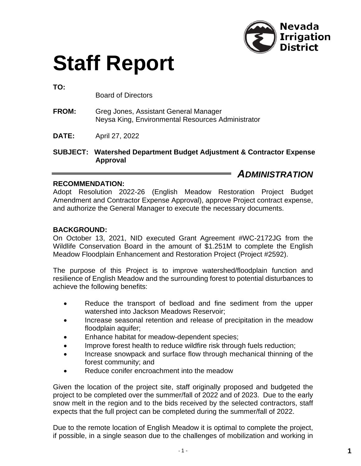

# **Staff Report**

**TO:**

Board of Directors

- **FROM:** Greg Jones, Assistant General Manager Neysa King, Environmental Resources Administrator
- **DATE:** April 27, 2022

**SUBJECT: Watershed Department Budget Adjustment & Contractor Expense Approval**

### *ADMINISTRATION*

#### **RECOMMENDATION:**

Adopt Resolution 2022-26 (English Meadow Restoration Project Budget Amendment and Contractor Expense Approval), approve Project contract expense, and authorize the General Manager to execute the necessary documents.

#### **BACKGROUND:**

On October 13, 2021, NID executed Grant Agreement #WC-2172JG from the Wildlife Conservation Board in the amount of \$1.251M to complete the English Meadow Floodplain Enhancement and Restoration Project (Project #2592).

The purpose of this Project is to improve watershed/floodplain function and resilience of English Meadow and the surrounding forest to potential disturbances to achieve the following benefits:

- Reduce the transport of bedload and fine sediment from the upper watershed into Jackson Meadows Reservoir;
- Increase seasonal retention and release of precipitation in the meadow floodplain aquifer;
- Enhance habitat for meadow-dependent species;
- Improve forest health to reduce wildfire risk through fuels reduction;
- Increase snowpack and surface flow through mechanical thinning of the forest community; and
- Reduce conifer encroachment into the meadow

Given the location of the project site, staff originally proposed and budgeted the project to be completed over the summer/fall of 2022 and of 2023. Due to the early snow melt in the region and to the bids received by the selected contractors, staff expects that the full project can be completed during the summer/fall of 2022.

Due to the remote location of English Meadow it is optimal to complete the project, if possible, in a single season due to the challenges of mobilization and working in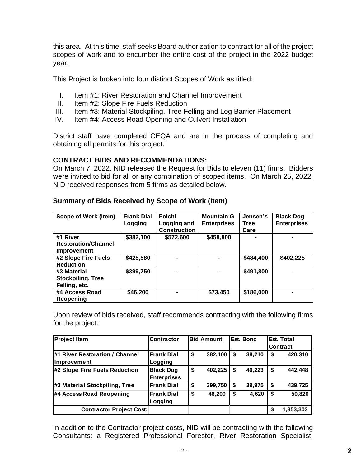this area. At this time, staff seeks Board authorization to contract for all of the project scopes of work and to encumber the entire cost of the project in the 2022 budget year.

This Project is broken into four distinct Scopes of Work as titled:

- I. Item #1: River Restoration and Channel Improvement
- II. Item #2: Slope Fire Fuels Reduction
- III. Item #3: Material Stockpiling, Tree Felling and Log Barrier Placement
- IV. Item #4: Access Road Opening and Culvert Installation

District staff have completed CEQA and are in the process of completing and obtaining all permits for this project.

#### **CONTRACT BIDS AND RECOMMENDATIONS:**

On March 7, 2022, NID released the Request for Bids to eleven (11) firms. Bidders were invited to bid for all or any combination of scoped items. On March 25, 2022, NID received responses from 5 firms as detailed below.

| <b>Scope of Work (Item)</b>                                  | <b>Frank Dial</b> | Folchi                             | <b>Mountain G</b>  | Jensen's            | <b>Black Dog</b>   |
|--------------------------------------------------------------|-------------------|------------------------------------|--------------------|---------------------|--------------------|
|                                                              | Logging           | Logging and<br><b>Construction</b> | <b>Enterprises</b> | <b>Tree</b><br>Care | <b>Enterprises</b> |
| #1 River<br><b>Restoration/Channel</b><br><b>Improvement</b> | \$382,100         | \$572,600                          | \$458,800          |                     |                    |
| #2 Slope Fire Fuels<br><b>Reduction</b>                      | \$425,580         |                                    |                    | \$484,400           | \$402,225          |
| #3 Material<br><b>Stockpiling, Tree</b><br>Felling, etc.     | \$399,750         |                                    |                    | \$491,800           |                    |
| #4 Access Road<br>Reopening                                  | \$46,200          |                                    | \$73,450           | \$186,000           |                    |

#### **Summary of Bids Received by Scope of Work (Item)**

Upon review of bids received, staff recommends contracting with the following firms for the project:

| <b>Project Item</b>             | <b>Contractor</b>  |    | <b>Bid Amount</b> | Est. Bond    |    | Est. Total      |
|---------------------------------|--------------------|----|-------------------|--------------|----|-----------------|
|                                 |                    |    |                   |              |    | <b>Contract</b> |
| #1 River Restoration / Channel  | <b>Frank Dial</b>  | \$ | 382,100           | \$<br>38,210 | S  | 420,310         |
| <b>Improvement</b>              | Logging            |    |                   |              |    |                 |
| #2 Slope Fire Fuels Reduction   | <b>Black Dog</b>   | \$ | 402,225           | \$<br>40,223 | \$ | 442,448         |
|                                 | <b>Enterprises</b> |    |                   |              |    |                 |
| #3 Material Stockpiling, Tree   | <b>Frank Dial</b>  | \$ | 399,750           | \$<br>39,975 | \$ | 439,725         |
| #4 Access Road Reopening        | <b>Frank Dial</b>  | \$ | 46,200            | \$<br>4,620  | S  | 50,820          |
|                                 | Logging            |    |                   |              |    |                 |
| <b>Contractor Project Cost:</b> |                    |    |                   |              |    | 1,353,303       |

In addition to the Contractor project costs, NID will be contracting with the following Consultants: a Registered Professional Forester, River Restoration Specialist,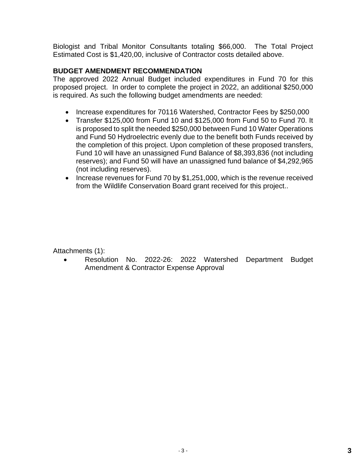Biologist and Tribal Monitor Consultants totaling \$66,000. The Total Project Estimated Cost is \$1,420,00, inclusive of Contractor costs detailed above.

#### **BUDGET AMENDMENT RECOMMENDATION**

The approved 2022 Annual Budget included expenditures in Fund 70 for this proposed project. In order to complete the project in 2022, an additional \$250,000 is required. As such the following budget amendments are needed:

- Increase expenditures for 70116 Watershed, Contractor Fees by \$250,000
- Transfer \$125,000 from Fund 10 and \$125,000 from Fund 50 to Fund 70. It is proposed to split the needed \$250,000 between Fund 10 Water Operations and Fund 50 Hydroelectric evenly due to the benefit both Funds received by the completion of this project. Upon completion of these proposed transfers, Fund 10 will have an unassigned Fund Balance of \$8,393,836 (not including reserves); and Fund 50 will have an unassigned fund balance of \$4,292,965 (not including reserves).
- Increase revenues for Fund 70 by \$1,251,000, which is the revenue received from the Wildlife Conservation Board grant received for this project..

Attachments (1):

• Resolution No. 2022-26: 2022 Watershed Department Budget Amendment & Contractor Expense Approval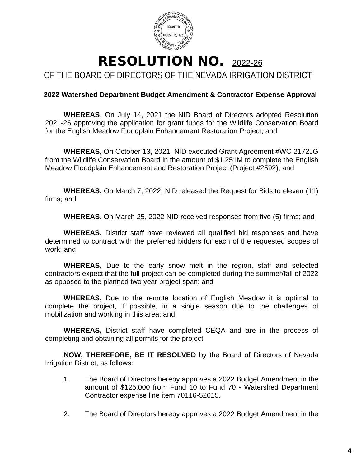

## RESOLUTION NO. 2022-26 OF THE BOARD OF DIRECTORS OF THE NEVADA IRRIGATION DISTRICT

#### **2022 Watershed Department Budget Amendment & Contractor Expense Approval**

**WHEREAS**, On July 14, 2021 the NID Board of Directors adopted Resolution 2021-26 approving the application for grant funds for the Wildlife Conservation Board for the English Meadow Floodplain Enhancement Restoration Project; and

**WHEREAS,** On October 13, 2021, NID executed Grant Agreement #WC-2172JG from the Wildlife Conservation Board in the amount of \$1.251M to complete the English Meadow Floodplain Enhancement and Restoration Project (Project #2592); and

**WHEREAS,** On March 7, 2022, NID released the Request for Bids to eleven (11) firms; and

**WHEREAS,** On March 25, 2022 NID received responses from five (5) firms; and

**WHEREAS,** District staff have reviewed all qualified bid responses and have determined to contract with the preferred bidders for each of the requested scopes of work; and

**WHEREAS,** Due to the early snow melt in the region, staff and selected contractors expect that the full project can be completed during the summer/fall of 2022 as opposed to the planned two year project span; and

**WHEREAS,** Due to the remote location of English Meadow it is optimal to complete the project, if possible, in a single season due to the challenges of mobilization and working in this area; and

**WHEREAS,** District staff have completed CEQA and are in the process of completing and obtaining all permits for the project

**NOW, THEREFORE, BE IT RESOLVED** by the Board of Directors of Nevada Irrigation District, as follows:

- 1. The Board of Directors hereby approves a 2022 Budget Amendment in the amount of \$125,000 from Fund 10 to Fund 70 - Watershed Department Contractor expense line item 70116-52615.
- 2. The Board of Directors hereby approves a 2022 Budget Amendment in the